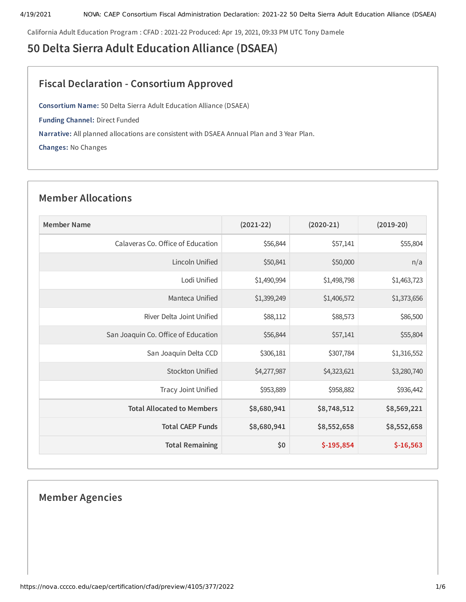California Adult Education Program : CFAD : 2021-22 Produced: Apr 19, 2021, 09:33 PM UTC Tony Damele

# **50 Delta Sierra Adult Education Alliance (DSAEA)**

# **Fiscal Declaration - Consortium Approved**

**Consortium Name:** 50 Delta Sierra Adult Education Alliance (DSAEA)

**Funding Channel:** Direct Funded

**Narrative:** All planned allocations are consistent with DSAEA Annual Plan and 3 Year Plan.

**Changes:** No Changes

# **Member Allocations**

| <b>Member Name</b>                  | $(2021-22)$ | $(2020-21)$ | $(2019-20)$ |
|-------------------------------------|-------------|-------------|-------------|
| Calaveras Co. Office of Education   | \$56,844    | \$57,141    | \$55,804    |
| Lincoln Unified                     | \$50,841    | \$50,000    | n/a         |
| Lodi Unified                        | \$1,490,994 | \$1,498,798 | \$1,463,723 |
| Manteca Unified                     | \$1,399,249 | \$1,406,572 | \$1,373,656 |
| River Delta Joint Unified           | \$88,112    | \$88,573    | \$86,500    |
| San Joaquin Co. Office of Education | \$56,844    | \$57,141    | \$55,804    |
| San Joaquin Delta CCD               | \$306,181   | \$307,784   | \$1,316,552 |
| <b>Stockton Unified</b>             | \$4,277,987 | \$4,323,621 | \$3,280,740 |
| Tracy Joint Unified                 | \$953,889   | \$958,882   | \$936,442   |
| <b>Total Allocated to Members</b>   | \$8,680,941 | \$8,748,512 | \$8,569,221 |
| <b>Total CAEP Funds</b>             | \$8,680,941 | \$8,552,658 | \$8,552,658 |
| <b>Total Remaining</b>              | \$0         | $$-195,854$ | $$-16,563$  |

# **Member Agencies**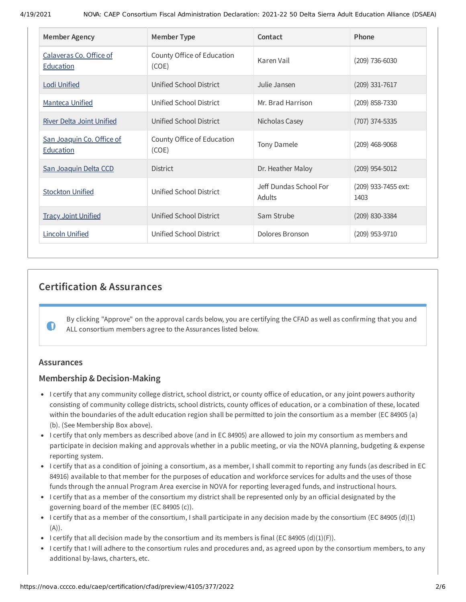| <b>Member Agency</b>                        | <b>Member Type</b>                  | Contact                          | Phone                       |
|---------------------------------------------|-------------------------------------|----------------------------------|-----------------------------|
| Calaveras Co. Office of<br><b>Education</b> | County Office of Education<br>(COE) | Karen Vail                       | $(209)$ 736-6030            |
| <b>Lodi Unified</b>                         | Unified School District             | Julie Jansen                     | (209) 331-7617              |
| <b>Manteca Unified</b>                      | Unified School District             | Mr. Brad Harrison                | (209) 858-7330              |
| <b>River Delta Joint Unified</b>            | Unified School District             | Nicholas Casey                   | (707) 374-5335              |
| San Joaquin Co. Office of<br>Education      | County Office of Education<br>(COE) | Tony Damele                      | $(209)$ 468-9068            |
| San Joaquin Delta CCD                       | <b>District</b>                     | Dr. Heather Maloy                | $(209)$ 954-5012            |
| <b>Stockton Unified</b>                     | Unified School District             | Jeff Dundas School For<br>Adults | (209) 933-7455 ext:<br>1403 |
| <b>Tracy Joint Unified</b>                  | <b>Unified School District</b>      | Sam Strube                       | (209) 830-3384              |
| <b>Lincoln Unified</b>                      | Unified School District             | Dolores Bronson                  | (209) 953-9710              |

# **Certification & Assurances**

By clicking "Approve" on the approval cards below, you are certifying the CFAD as well as confirming that you and ALL consortium members agree to the Assurances listed below.

# **Assurances**

 $\bullet$ 

# **Membership & Decision-Making**

- I certify that any community college district, school district, or county office of education, or any joint powers authority consisting of community college districts, school districts, county offices of education, or a combination of these, located within the boundaries of the adult education region shall be permitted to join the consortium as a member (EC 84905 (a) (b). (See Membership Box above).
- I certify that only members as described above (and in EC 84905) are allowed to join my consortium as members and participate in decision making and approvals whether in a public meeting, or via the NOVA planning, budgeting & expense reporting system.
- I certify that as a condition of joining a consortium, as a member, I shall commit to reporting any funds (as described in EC 84916) available to that member for the purposes of education and workforce services for adults and the uses of those funds through the annual Program Area exercise in NOVA for reporting leveraged funds, and instructional hours.
- I certify that as a member of the consortium my district shall be represented only by an official designated by the governing board of the member (EC 84905 (c)).
- I certify that as a member of the consortium, I shall participate in any decision made by the consortium (EC 84905 (d)(1)  $(A)$ ).
- I certify that all decision made by the consortium and its members is final (EC 84905 (d)(1)(F)).
- I certify that I will adhere to the consortium rules and procedures and, as agreed upon by the consortium members, to any additional by-laws, charters, etc.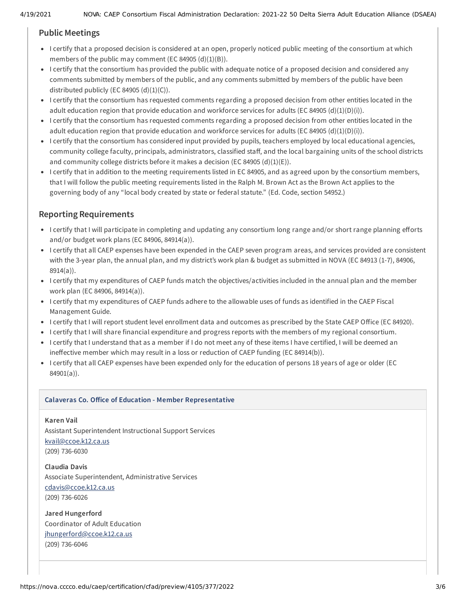# **Public Meetings**

- I certify that a proposed decision is considered at an open, properly noticed public meeting of the consortium at which members of the public may comment (EC 84905  $(d)(1)(B)$ ).
- I certify that the consortium has provided the public with adequate notice of a proposed decision and considered any comments submitted by members of the public, and any comments submitted by members of the public have been distributed publicly (EC 84905  $(d)(1)(C)$ ).
- I certify that the consortium has requested comments regarding a proposed decision from other entities located in the adult education region that provide education and workforce services for adults (EC 84905 (d)(1)(D)(i)).
- I certify that the consortium has requested comments regarding a proposed decision from other entities located in the adult education region that provide education and workforce services for adults (EC 84905 (d)(1)(D)(i)).
- I certify that the consortium has considered input provided by pupils, teachers employed by local educational agencies, community college faculty, principals, administrators, classified staff, and the local bargaining units of the school districts and community college districts before it makes a decision (EC 84905  $(d)(1)(E)$ ).
- I certify that in addition to the meeting requirements listed in EC 84905, and as agreed upon by the consortium members, that I will follow the public meeting requirements listed in the Ralph M. Brown Act as the Brown Act applies to the governing body of any "local body created by state or federal statute." (Ed. Code, section 54952.)

# **Reporting Requirements**

- I certify that I will participate in completing and updating any consortium long range and/or short range planning efforts and/or budget work plans (EC 84906, 84914(a)).
- I certify that all CAEP expenses have been expended in the CAEP seven program areas, and services provided are consistent with the 3-year plan, the annual plan, and my district's work plan & budget as submitted in NOVA (EC 84913 (1-7), 84906, 8914(a)).
- I certify that my expenditures of CAEP funds match the objectives/activities included in the annual plan and the member work plan (EC 84906, 84914(a)).
- I certify that my expenditures of CAEP funds adhere to the allowable uses of funds as identified in the CAEP Fiscal Management Guide.
- I certify that I will report student level enrollment data and outcomes as prescribed by the State CAEP Office (EC 84920).
- I certify that I will share financial expenditure and progress reports with the members of my regional consortium.
- I certify that I understand that as a member if I do not meet any of these items I have certified, I will be deemed an ineffective member which may result in a loss or reduction of CAEP funding (EC 84914(b)).
- I certify that all CAEP expenses have been expended only for the education of persons 18 years of age or older (EC 84901(a)).

# **Calaveras Co. Oice of Education - Member Representative**

# **Karen Vail**

Assistant Superintendent Instructional Support Services [kvail@ccoe.k12.ca.us](mailto:kvail@ccoe.k12.ca.us) (209) 736-6030

**Claudia Davis** Associate Superintendent, Administrative Services [cdavis@ccoe.k12.ca.us](mailto:cdavis@ccoe.k12.ca.us) (209) 736-6026

**Jared Hungerford** Coordinator of Adult Education [jhungerford@ccoe.k12.ca.us](mailto:jhungerford@ccoe.k12.ca.us) (209) 736-6046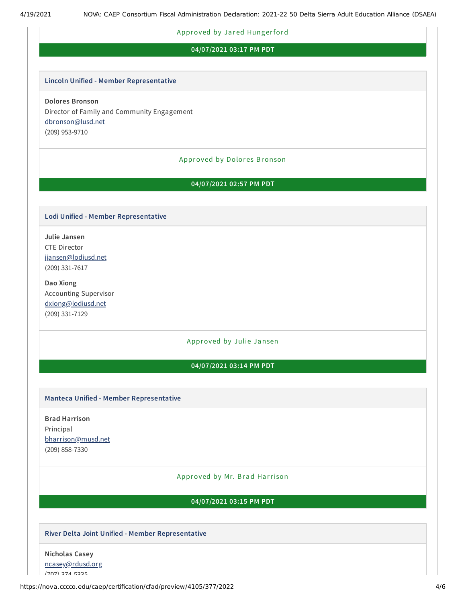#### Approved by Jared Hungerford

#### **04/07/2021 03:17 PM PDT**

#### **Lincoln Unified - Member Representative**

**Dolores Bronson** Director of Family and Community Engagement [dbronson@lusd.net](mailto:dbronson@lusd.net) (209) 953-9710

# Approved by Dolores Bronson

# **04/07/2021 02:57 PM PDT**

#### **Lodi Unified - Member Representative**

**Julie Jansen** CTE Director [jjansen@lodiusd.net](mailto:jjansen@lodiusd.net) (209) 331-7617

**Dao Xiong** Accounting Supervisor [dxiong@lodiusd.net](mailto:dxiong@lodiusd.net) (209) 331-7129

#### Approved by Julie Jansen

# **04/07/2021 03:14 PM PDT**

#### **Manteca Unified - Member Representative**

**Brad Harrison** Principal [bharrison@musd.net](mailto:bharrison@musd.net) (209) 858-7330

### Approved by Mr. Brad Harrison

### **04/07/2021 03:15 PM PDT**

#### **River Delta Joint Unified - Member Representative**

**Nicholas Casey** [ncasey@rdusd.org](mailto:ncasey@rdusd.org)  $(707)$   $274$   $5325$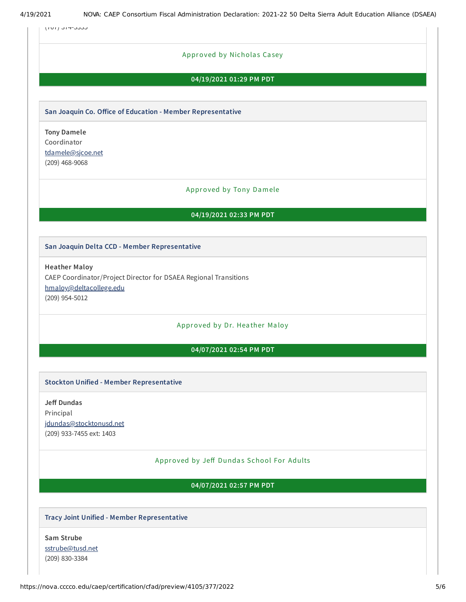(707) 374-5335

# Approved by Nicholas Casey

# **04/19/2021 01:29 PM PDT**

#### **San Joaquin Co. Oice of Education - Member Representative**

**Tony Damele** Coordinator [tdamele@sjcoe.net](mailto:tdamele@sjcoe.net) (209) 468-9068

#### Approved by Tony Damele

#### **04/19/2021 02:33 PM PDT**

#### **San Joaquin Delta CCD - Member Representative**

**Heather Maloy** CAEP Coordinator/Project Director for DSAEA Regional Transitions [hmaloy@deltacollege.edu](mailto:hmaloy@deltacollege.edu) (209) 954-5012

# Approved by Dr. Heather Maloy

# **04/07/2021 02:54 PM PDT**

#### **Stockton Unified - Member Representative**

**Je Dundas** Principal [jdundas@stocktonusd.net](mailto:jdundas@stocktonusd.net) (209) 933-7455 ext: 1403

# Approved by Jeff Dundas School For Adults

#### **04/07/2021 02:57 PM PDT**

#### **Tracy Joint Unified - Member Representative**

**Sam Strube** [sstrube@tusd.net](mailto:sstrube@tusd.net) (209) 830-3384